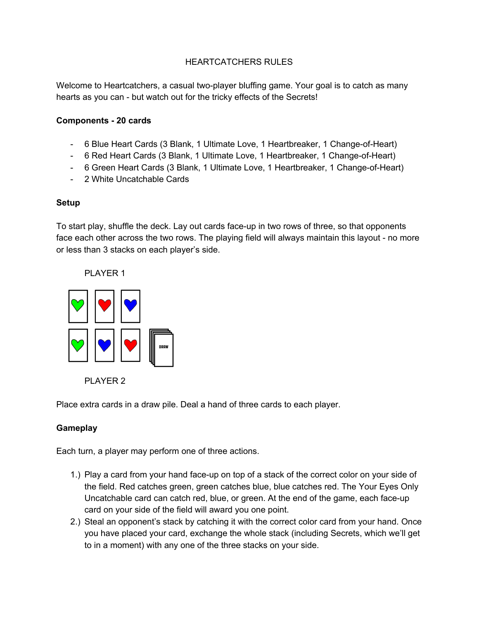### HEARTCATCHERS RULES

Welcome to Heartcatchers, a casual two-player bluffing game. Your goal is to catch as many hearts as you can - but watch out for the tricky effects of the Secrets!

#### **Components 20 cards**

- 6 Blue Heart Cards (3 Blank, 1 Ultimate Love, 1 Heartbreaker, 1 Change-of-Heart)
- 6 Red Heart Cards (3 Blank, 1 Ultimate Love, 1 Heartbreaker, 1 Change-of-Heart)
- 6 Green Heart Cards (3 Blank, 1 Ultimate Love, 1 Heartbreaker, 1 Change-of-Heart)
- 2 White Uncatchable Cards

#### **Setup**

To start play, shuffle the deck. Lay out cards face-up in two rows of three, so that opponents face each other across the two rows. The playing field will always maintain this layout - no more or less than 3 stacks on each player's side.







Place extra cards in a draw pile. Deal a hand of three cards to each player.

## **Gameplay**

Each turn, a player may perform one of three actions.

- 1.) Play a card from your hand face-up on top of a stack of the correct color on your side of the field. Red catches green, green catches blue, blue catches red. The Your Eyes Only Uncatchable card can catch red, blue, or green. At the end of the game, each face-up card on your side of the field will award you one point.
- 2.) Steal an opponent's stack by catching it with the correct color card from your hand. Once you have placed your card, exchange the whole stack (including Secrets, which we'll get to in a moment) with any one of the three stacks on your side.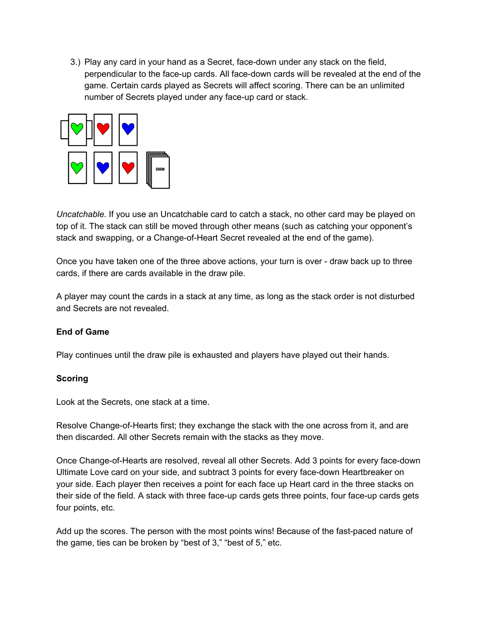3.) Play any card in your hand as a Secret, face-down under any stack on the field, perpendicular to the face-up cards. All face-down cards will be revealed at the end of the game. Certain cards played as Secrets will affect scoring. There can be an unlimited number of Secrets played under any face-up card or stack.



*Uncatchable.* If you use an Uncatchable card to catch a stack, no other card may be played on top of it. The stack can still be moved through other means (such as catching your opponent's stack and swapping, or a Change-of-Heart Secret revealed at the end of the game).

Once you have taken one of the three above actions, your turn is over - draw back up to three cards, if there are cards available in the draw pile.

A player may count the cards in a stack at any time, as long as the stack order is not disturbed and Secrets are not revealed.

## **End of Game**

Play continues until the draw pile is exhausted and players have played out their hands.

#### **Scoring**

Look at the Secrets, one stack at a time.

Resolve Change-of-Hearts first; they exchange the stack with the one across from it, and are then discarded. All other Secrets remain with the stacks as they move.

Once Change-of-Hearts are resolved, reveal all other Secrets. Add 3 points for every face-down Ultimate Love card on your side, and subtract 3 points for every face-down Heartbreaker on your side. Each player then receives a point for each face up Heart card in the three stacks on their side of the field. A stack with three face-up cards gets three points, four face-up cards gets four points, etc.

Add up the scores. The person with the most points wins! Because of the fast-paced nature of the game, ties can be broken by "best of 3," "best of 5," etc.